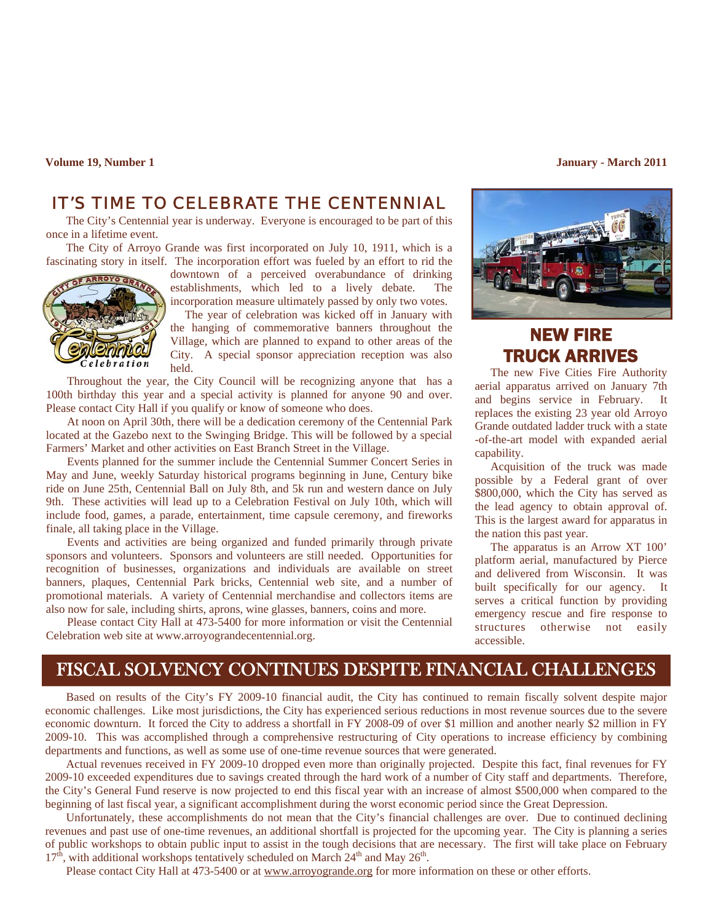**Volume 19, Number 1** January - March 2011 **January - March 2011** 

# *IT'S TIME TO CELEBRATE THE CENTENNIAL*

The City's Centennial year is underway. Everyone is encouraged to be part of this once in a lifetime event.

The City of Arroyo Grande was first incorporated on July 10, 1911, which is a fascinating story in itself. The incorporation effort was fueled by an effort to rid the



downtown of a perceived overabundance of drinking establishments, which led to a lively debate. The incorporation measure ultimately passed by only two votes.

 The year of celebration was kicked off in January with the hanging of commemorative banners throughout the Village, which are planned to expand to other areas of the City. A special sponsor appreciation reception was also held.

Throughout the year, the City Council will be recognizing anyone that has a 100th birthday this year and a special activity is planned for anyone 90 and over. Please contact City Hall if you qualify or know of someone who does.

At noon on April 30th, there will be a dedication ceremony of the Centennial Park located at the Gazebo next to the Swinging Bridge. This will be followed by a special Farmers' Market and other activities on East Branch Street in the Village.

Events planned for the summer include the Centennial Summer Concert Series in May and June, weekly Saturday historical programs beginning in June, Century bike ride on June 25th, Centennial Ball on July 8th, and 5k run and western dance on July 9th. These activities will lead up to a Celebration Festival on July 10th, which will include food, games, a parade, entertainment, time capsule ceremony, and fireworks finale, all taking place in the Village.

Events and activities are being organized and funded primarily through private sponsors and volunteers. Sponsors and volunteers are still needed. Opportunities for recognition of businesses, organizations and individuals are available on street banners, plaques, Centennial Park bricks, Centennial web site, and a number of promotional materials. A variety of Centennial merchandise and collectors items are also now for sale, including shirts, aprons, wine glasses, banners, coins and more.

Please contact City Hall at 473-5400 for more information or visit the Centennial Celebration web site at www.arroyograndecentennial.org.



# NEW FIRE TRUCK ARRIVES

 The new Five Cities Fire Authority aerial apparatus arrived on January 7th and begins service in February. It replaces the existing 23 year old Arroyo Grande outdated ladder truck with a state -of-the-art model with expanded aerial capability.

 Acquisition of the truck was made possible by a Federal grant of over \$800,000, which the City has served as the lead agency to obtain approval of. This is the largest award for apparatus in the nation this past year.

 The apparatus is an Arrow XT 100' platform aerial, manufactured by Pierce and delivered from Wisconsin. It was built specifically for our agency. It serves a critical function by providing emergency rescue and fire response to structures otherwise not easily accessible.

# FISCAL SOLVENCY CONTINUES DESPITE FINANCIAL CHALLENGES

Based on results of the City's FY 2009-10 financial audit, the City has continued to remain fiscally solvent despite major economic challenges. Like most jurisdictions, the City has experienced serious reductions in most revenue sources due to the severe economic downturn. It forced the City to address a shortfall in FY 2008-09 of over \$1 million and another nearly \$2 million in FY 2009-10. This was accomplished through a comprehensive restructuring of City operations to increase efficiency by combining departments and functions, as well as some use of one-time revenue sources that were generated.

 Actual revenues received in FY 2009-10 dropped even more than originally projected. Despite this fact, final revenues for FY 2009-10 exceeded expenditures due to savings created through the hard work of a number of City staff and departments. Therefore, the City's General Fund reserve is now projected to end this fiscal year with an increase of almost \$500,000 when compared to the beginning of last fiscal year, a significant accomplishment during the worst economic period since the Great Depression.

 Unfortunately, these accomplishments do not mean that the City's financial challenges are over. Due to continued declining revenues and past use of one-time revenues, an additional shortfall is projected for the upcoming year. The City is planning a series of public workshops to obtain public input to assist in the tough decisions that are necessary. The first will take place on February  $17<sup>th</sup>$ , with additional workshops tentatively scheduled on March  $24<sup>th</sup>$  and May  $26<sup>th</sup>$ .

Please contact City Hall at 473-5400 or at www.arroyogrande.org for more information on these or other efforts.